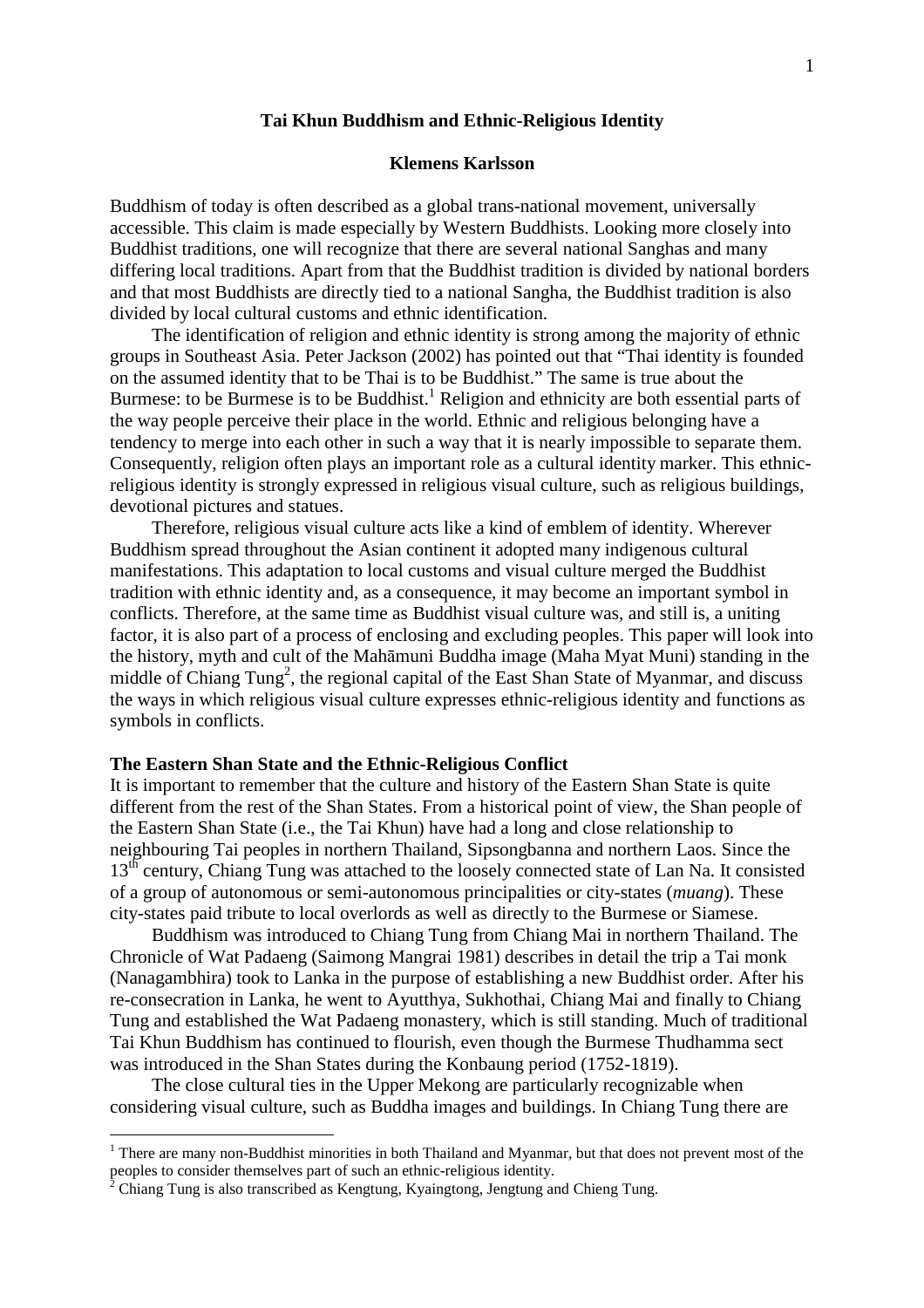### **Tai Khun Buddhism and Ethnic-Religious Identity**

# **Klemens Karlsson**

Buddhism of today is often described as a global trans-national movement, universally accessible. This claim is made especially by Western Buddhists. Looking more closely into Buddhist traditions, one will recognize that there are several national Sanghas and many differing local traditions. Apart from that the Buddhist tradition is divided by national borders and that most Buddhists are directly tied to a national Sangha, the Buddhist tradition is also divided by local cultural customs and ethnic identification.

The identification of religion and ethnic identity is strong among the majority of ethnic groups in Southeast Asia. Peter Jackson (2002) has pointed out that "Thai identity is founded on the assumed identity that to be Thai is to be Buddhist." The same is true about the Burmese: to be Burmese is to be Buddhist.<sup>1</sup> Religion and ethnicity are both essential parts of the way people perceive their place in the world. Ethnic and religious belonging have a tendency to merge into each other in such a way that it is nearly impossible to separate them. Consequently, religion often plays an important role as a cultural identity marker. This ethnicreligious identity is strongly expressed in religious visual culture, such as religious buildings, devotional pictures and statues.

Therefore, religious visual culture acts like a kind of emblem of identity. Wherever Buddhism spread throughout the Asian continent it adopted many indigenous cultural manifestations. This adaptation to local customs and visual culture merged the Buddhist tradition with ethnic identity and, as a consequence, it may become an important symbol in conflicts. Therefore, at the same time as Buddhist visual culture was, and still is, a uniting factor, it is also part of a process of enclosing and excluding peoples. This paper will look into the history, myth and cult of the Mahāmuni Buddha image (Maha Myat Muni) standing in the middle of Chiang Tung<sup>2</sup>, the regional capital of the East Shan State of Myanmar, and discuss the ways in which religious visual culture expresses ethnic-religious identity and functions as symbols in conflicts.

### **The Eastern Shan State and the Ethnic-Religious Conflict**

It is important to remember that the culture and history of the Eastern Shan State is quite different from the rest of the Shan States. From a historical point of view, the Shan people of the Eastern Shan State (i.e., the Tai Khun) have had a long and close relationship to neighbouring Tai peoples in northern Thailand, Sipsongbanna and northern Laos. Since the 13<sup>th</sup> century, Chiang Tung was attached to the loosely connected state of Lan Na. It consisted of a group of autonomous or semi-autonomous principalities or city-states (*muang*). These city-states paid tribute to local overlords as well as directly to the Burmese or Siamese.

Buddhism was introduced to Chiang Tung from Chiang Mai in northern Thailand. The Chronicle of Wat Padaeng (Saimong Mangrai 1981) describes in detail the trip a Tai monk (Nanagambhira) took to Lanka in the purpose of establishing a new Buddhist order. After his re-consecration in Lanka, he went to Ayutthya, Sukhothai, Chiang Mai and finally to Chiang Tung and established the Wat Padaeng monastery, which is still standing. Much of traditional Tai Khun Buddhism has continued to flourish, even though the Burmese Thudhamma sect was introduced in the Shan States during the Konbaung period (1752-1819).

The close cultural ties in the Upper Mekong are particularly recognizable when considering visual culture, such as Buddha images and buildings. In Chiang Tung there are

 $\overline{a}$ 

<sup>&</sup>lt;sup>1</sup> There are many non-Buddhist minorities in both Thailand and Myanmar, but that does not prevent most of the peoples to consider themselves part of such an ethnic-religious identity.

 $\bar{2}$ Chiang Tung is also transcribed as Kengtung, Kyaingtong, Jengtung and Chieng Tung.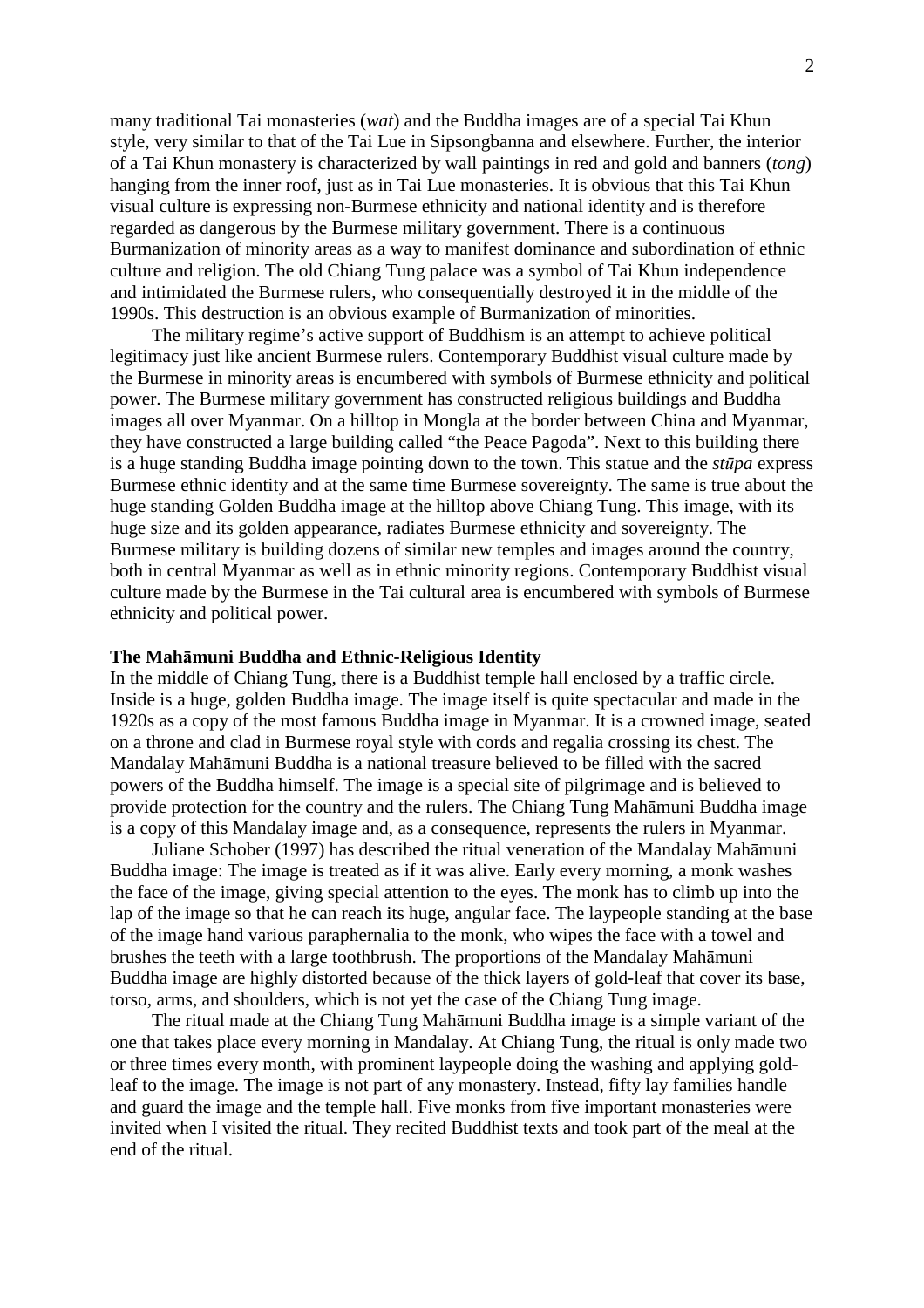many traditional Tai monasteries (*wat*) and the Buddha images are of a special Tai Khun style, very similar to that of the Tai Lue in Sipsongbanna and elsewhere. Further, the interior of a Tai Khun monastery is characterized by wall paintings in red and gold and banners (*tong*) hanging from the inner roof, just as in Tai Lue monasteries. It is obvious that this Tai Khun visual culture is expressing non-Burmese ethnicity and national identity and is therefore regarded as dangerous by the Burmese military government. There is a continuous Burmanization of minority areas as a way to manifest dominance and subordination of ethnic culture and religion. The old Chiang Tung palace was a symbol of Tai Khun independence and intimidated the Burmese rulers, who consequentially destroyed it in the middle of the 1990s. This destruction is an obvious example of Burmanization of minorities.

The military regime's active support of Buddhism is an attempt to achieve political legitimacy just like ancient Burmese rulers. Contemporary Buddhist visual culture made by the Burmese in minority areas is encumbered with symbols of Burmese ethnicity and political power. The Burmese military government has constructed religious buildings and Buddha images all over Myanmar. On a hilltop in Mongla at the border between China and Myanmar, they have constructed a large building called "the Peace Pagoda". Next to this building there is a huge standing Buddha image pointing down to the town. This statue and the *st*ū*pa* express Burmese ethnic identity and at the same time Burmese sovereignty. The same is true about the huge standing Golden Buddha image at the hilltop above Chiang Tung. This image, with its huge size and its golden appearance, radiates Burmese ethnicity and sovereignty. The Burmese military is building dozens of similar new temples and images around the country, both in central Myanmar as well as in ethnic minority regions. Contemporary Buddhist visual culture made by the Burmese in the Tai cultural area is encumbered with symbols of Burmese ethnicity and political power.

## **The Mah**ā**muni Buddha and Ethnic-Religious Identity**

In the middle of Chiang Tung, there is a Buddhist temple hall enclosed by a traffic circle. Inside is a huge, golden Buddha image. The image itself is quite spectacular and made in the 1920s as a copy of the most famous Buddha image in Myanmar. It is a crowned image, seated on a throne and clad in Burmese royal style with cords and regalia crossing its chest. The Mandalay Mahāmuni Buddha is a national treasure believed to be filled with the sacred powers of the Buddha himself. The image is a special site of pilgrimage and is believed to provide protection for the country and the rulers. The Chiang Tung Mahāmuni Buddha image is a copy of this Mandalay image and, as a consequence, represents the rulers in Myanmar.

Juliane Schober (1997) has described the ritual veneration of the Mandalay Mahāmuni Buddha image: The image is treated as if it was alive. Early every morning, a monk washes the face of the image, giving special attention to the eyes. The monk has to climb up into the lap of the image so that he can reach its huge, angular face. The laypeople standing at the base of the image hand various paraphernalia to the monk, who wipes the face with a towel and brushes the teeth with a large toothbrush. The proportions of the Mandalay Mahāmuni Buddha image are highly distorted because of the thick layers of gold-leaf that cover its base, torso, arms, and shoulders, which is not yet the case of the Chiang Tung image.

The ritual made at the Chiang Tung Mahāmuni Buddha image is a simple variant of the one that takes place every morning in Mandalay. At Chiang Tung, the ritual is only made two or three times every month, with prominent laypeople doing the washing and applying goldleaf to the image. The image is not part of any monastery. Instead, fifty lay families handle and guard the image and the temple hall. Five monks from five important monasteries were invited when I visited the ritual. They recited Buddhist texts and took part of the meal at the end of the ritual.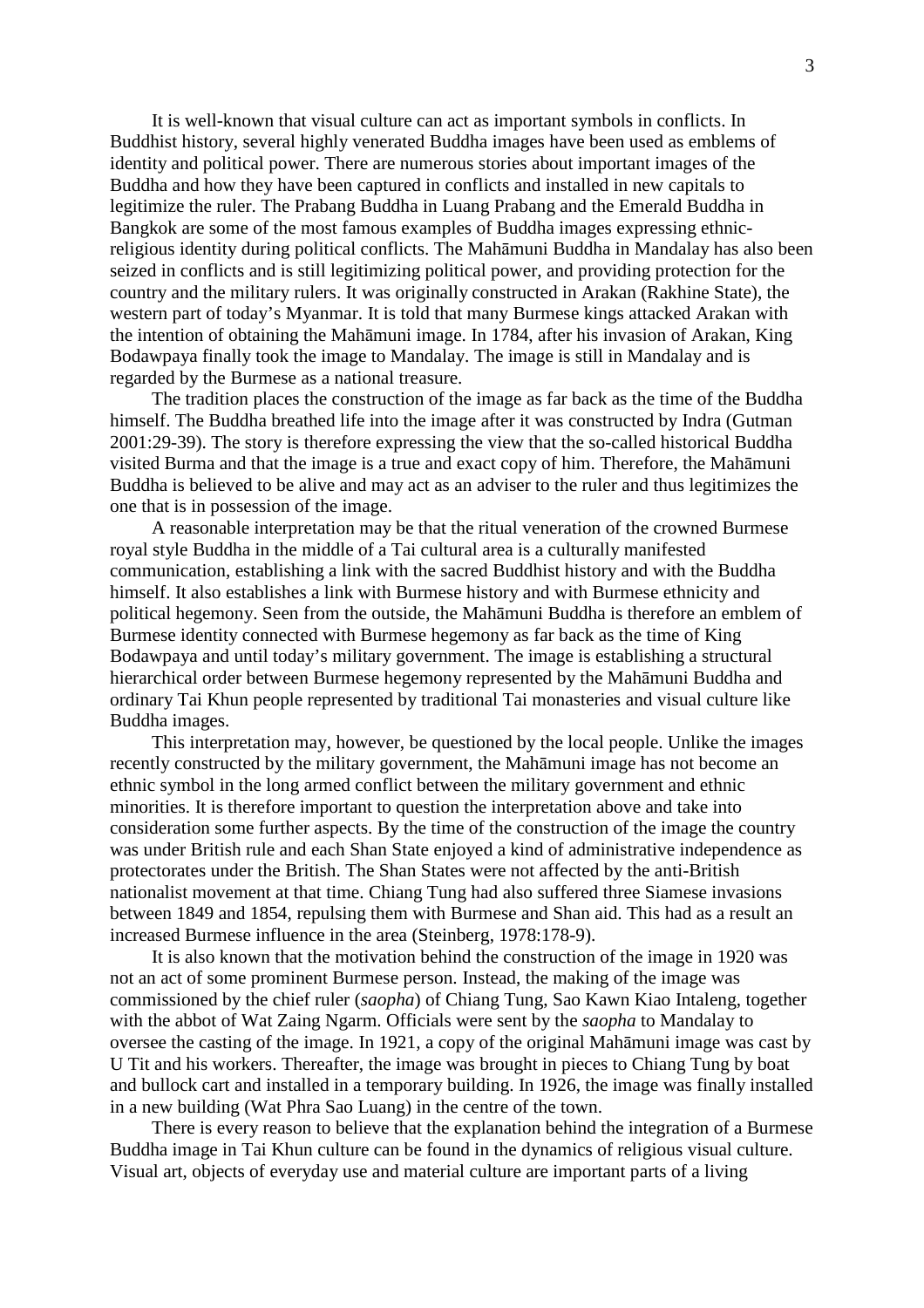It is well-known that visual culture can act as important symbols in conflicts. In Buddhist history, several highly venerated Buddha images have been used as emblems of identity and political power. There are numerous stories about important images of the Buddha and how they have been captured in conflicts and installed in new capitals to legitimize the ruler. The Prabang Buddha in Luang Prabang and the Emerald Buddha in Bangkok are some of the most famous examples of Buddha images expressing ethnicreligious identity during political conflicts. The Mahāmuni Buddha in Mandalay has also been seized in conflicts and is still legitimizing political power, and providing protection for the country and the military rulers. It was originally constructed in Arakan (Rakhine State), the western part of today's Myanmar. It is told that many Burmese kings attacked Arakan with the intention of obtaining the Mahāmuni image. In 1784, after his invasion of Arakan, King Bodawpaya finally took the image to Mandalay. The image is still in Mandalay and is regarded by the Burmese as a national treasure.

The tradition places the construction of the image as far back as the time of the Buddha himself. The Buddha breathed life into the image after it was constructed by Indra (Gutman 2001:29-39). The story is therefore expressing the view that the so-called historical Buddha visited Burma and that the image is a true and exact copy of him. Therefore, the Mahāmuni Buddha is believed to be alive and may act as an adviser to the ruler and thus legitimizes the one that is in possession of the image.

A reasonable interpretation may be that the ritual veneration of the crowned Burmese royal style Buddha in the middle of a Tai cultural area is a culturally manifested communication, establishing a link with the sacred Buddhist history and with the Buddha himself. It also establishes a link with Burmese history and with Burmese ethnicity and political hegemony. Seen from the outside, the Mahāmuni Buddha is therefore an emblem of Burmese identity connected with Burmese hegemony as far back as the time of King Bodawpaya and until today's military government. The image is establishing a structural hierarchical order between Burmese hegemony represented by the Mahāmuni Buddha and ordinary Tai Khun people represented by traditional Tai monasteries and visual culture like Buddha images.

This interpretation may, however, be questioned by the local people. Unlike the images recently constructed by the military government, the Mahāmuni image has not become an ethnic symbol in the long armed conflict between the military government and ethnic minorities. It is therefore important to question the interpretation above and take into consideration some further aspects. By the time of the construction of the image the country was under British rule and each Shan State enjoyed a kind of administrative independence as protectorates under the British. The Shan States were not affected by the anti-British nationalist movement at that time. Chiang Tung had also suffered three Siamese invasions between 1849 and 1854, repulsing them with Burmese and Shan aid. This had as a result an increased Burmese influence in the area (Steinberg, 1978:178-9).

It is also known that the motivation behind the construction of the image in 1920 was not an act of some prominent Burmese person. Instead, the making of the image was commissioned by the chief ruler (*saopha*) of Chiang Tung, Sao Kawn Kiao Intaleng, together with the abbot of Wat Zaing Ngarm. Officials were sent by the *saopha* to Mandalay to oversee the casting of the image. In 1921, a copy of the original Mahāmuni image was cast by U Tit and his workers. Thereafter, the image was brought in pieces to Chiang Tung by boat and bullock cart and installed in a temporary building. In 1926, the image was finally installed in a new building (Wat Phra Sao Luang) in the centre of the town.

There is every reason to believe that the explanation behind the integration of a Burmese Buddha image in Tai Khun culture can be found in the dynamics of religious visual culture. Visual art, objects of everyday use and material culture are important parts of a living